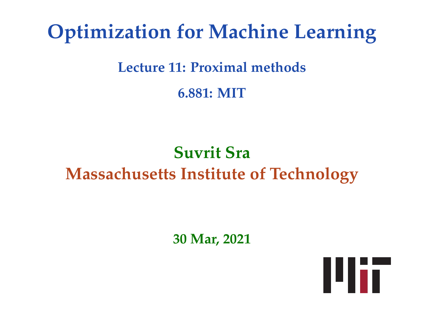# **Optimization for Machine Learning**

#### **Lecture 11: Proximal methods**

**6.881: MIT**

## **Suvrit Sra Massachusetts Institute of Technology**

**30 Mar, 2021**

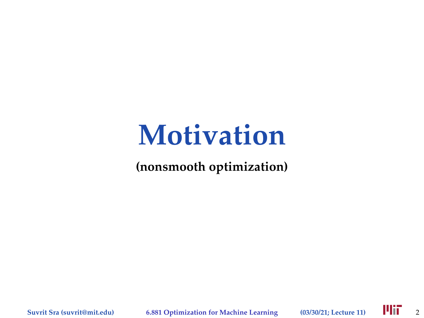# **Motivation**

#### **(nonsmooth optimization)**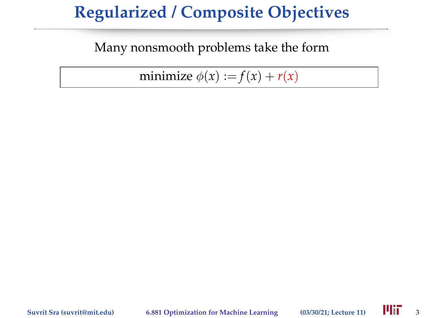Many nonsmooth problems take the form

minimize  $\phi(x) := f(x) + r(x)$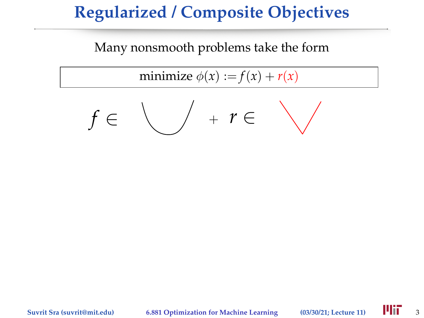#### Many nonsmooth problems take the form

minimize  $\phi(x) := f(x) + r(x)$ 

$$
f\in\bigvee \quad +\ r\in\quad \bigvee
$$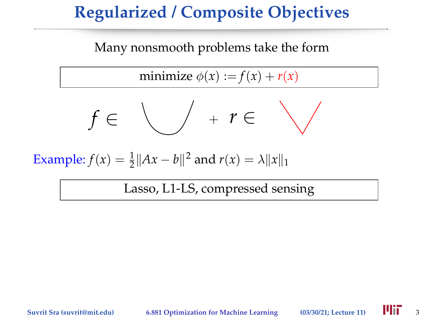#### Many nonsmooth problems take the form

minimize  $\phi(x) := f(x) + r(x)$ 

$$
f\in\bigvee \quad +\ r\in\quad \bigvee
$$

Example:  $f(x) = \frac{1}{2} ||Ax - b||^2$  and  $r(x) = \lambda ||x||_1$ 

Lasso, L1-LS, compressed sensing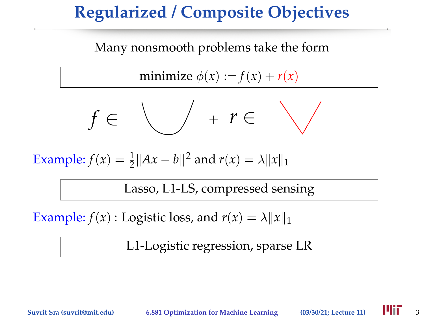#### Many nonsmooth problems take the form

minimize  $\phi(x) := f(x) + r(x)$ 

$$
f\in\bigvee \quad +\ r\in\quad \bigvee
$$

Example:  $f(x) = \frac{1}{2} ||Ax - b||^2$  and  $r(x) = \lambda ||x||_1$ 

Lasso, L1-LS, compressed sensing

Example:  $f(x)$ : Logistic loss, and  $r(x) = \lambda ||x||_1$ 

L1-Logistic regression, sparse LR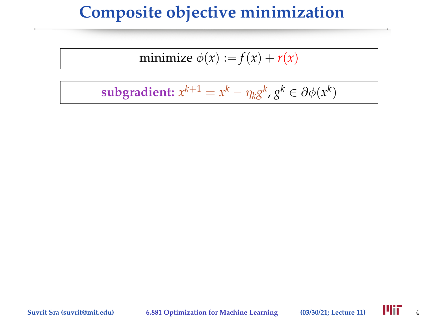## **Composite objective minimization**

$$
minimize \phi(x) := f(x) + r(x)
$$

$$
subgradient: x^{k+1} = x^k - \eta_k g^k, g^k \in \partial \phi(x^k)
$$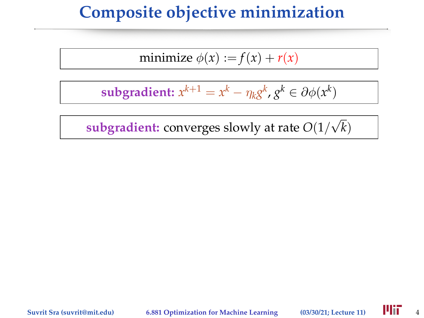### **Composite objective minimization**

$$
minimize \phi(x) := f(x) + r(x)
$$

$$
subgradient: x^{k+1} = x^k - \eta_k g^k, g^k \in \partial \phi(x^k)
$$

**subgradient:** converges slowly at rate *O*(1/ √ *k*)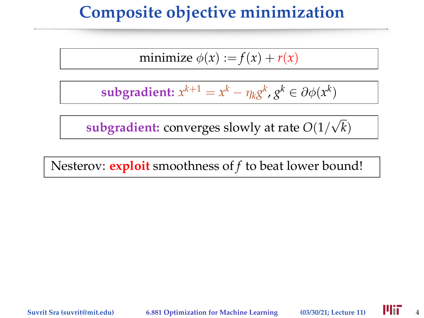### **Composite objective minimization**

$$
minimize \phi(x) := f(x) + r(x)
$$

$$
subgradient: x^{k+1} = x^k - \eta_k g^k, g^k \in \partial \phi(x^k)
$$

**subgradient:** converges slowly at rate *O*(1/ √ *k*)

Nesterov: **exploit** smoothness of *f* to beat lower bound!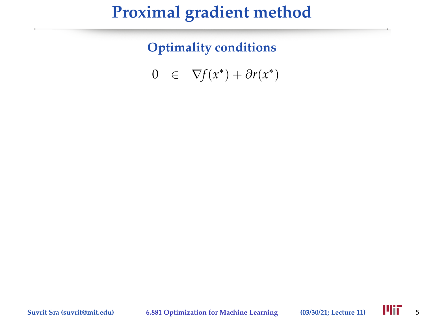**Optimality conditions**

0  $\in \nabla f(x^*) + \partial r(x^*)$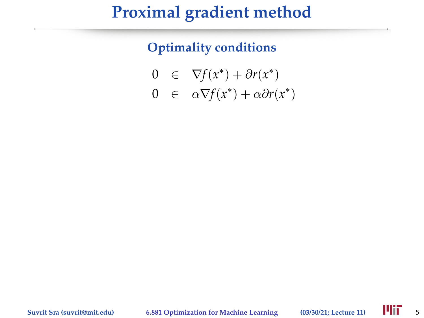$$
0 \in \nabla f(x^*) + \partial r(x^*)
$$

$$
0 \;\;\in\;\; \alpha \nabla\! f(x^*) + \alpha \partial r(x^*)
$$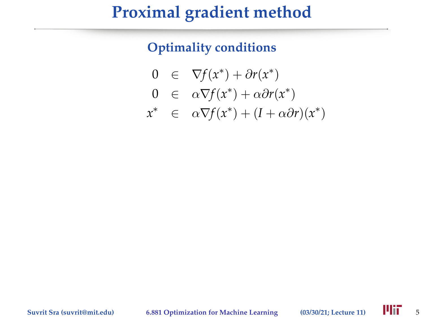$$
0 \in \nabla f(x^*) + \partial r(x^*)
$$

$$
0 \in \alpha \nabla f(x^*) + \alpha \partial r(x^*)
$$

$$
x^* \in \alpha \nabla f(x^*) + (I + \alpha \partial r)(x^*)
$$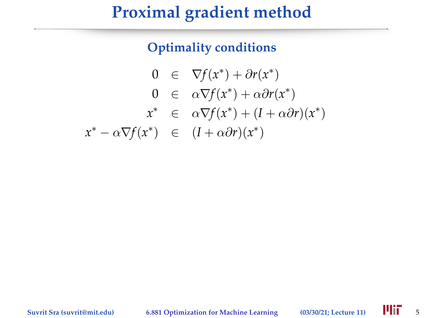$$
0 \in \nabla f(x^*) + \partial r(x^*)
$$
  
\n
$$
0 \in \alpha \nabla f(x^*) + \alpha \partial r(x^*)
$$
  
\n
$$
x^* \in \alpha \nabla f(x^*) + (I + \alpha \partial r)(x^*)
$$
  
\n
$$
x^* - \alpha \nabla f(x^*) \in (I + \alpha \partial r)(x^*)
$$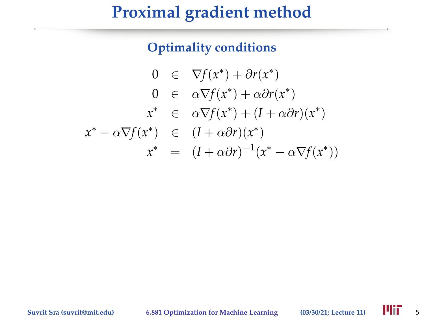$$
0 \in \nabla f(x^*) + \partial r(x^*)
$$
  
\n
$$
0 \in \alpha \nabla f(x^*) + \alpha \partial r(x^*)
$$
  
\n
$$
x^* \in \alpha \nabla f(x^*) + (I + \alpha \partial r)(x^*)
$$
  
\n
$$
x^* - \alpha \nabla f(x^*) \in (I + \alpha \partial r)(x^*)
$$
  
\n
$$
x^* = (I + \alpha \partial r)^{-1}(x^* - \alpha \nabla f(x^*))
$$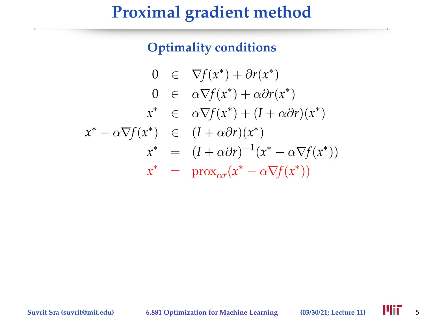$$
0 \in \nabla f(x^*) + \partial r(x^*)
$$
  
\n
$$
0 \in \alpha \nabla f(x^*) + \alpha \partial r(x^*)
$$
  
\n
$$
x^* \in \alpha \nabla f(x^*) + (I + \alpha \partial r)(x^*)
$$
  
\n
$$
x^* - \alpha \nabla f(x^*) \in (I + \alpha \partial r)(x^*)
$$
  
\n
$$
x^* \in (I + \alpha \partial r)^{-1}(x^* - \alpha \nabla f(x^*))
$$
  
\n
$$
x^* \in \text{prox}_{\alpha r}(x^* - \alpha \nabla f(x^*))
$$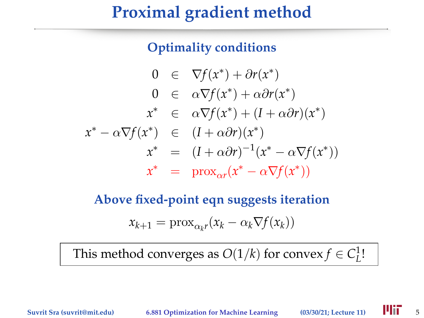#### **Optimality conditions**

$$
0 \in \nabla f(x^*) + \partial r(x^*)
$$
  
\n
$$
0 \in \alpha \nabla f(x^*) + \alpha \partial r(x^*)
$$
  
\n
$$
x^* \in \alpha \nabla f(x^*) + (I + \alpha \partial r)(x^*)
$$
  
\n
$$
x^* - \alpha \nabla f(x^*) \in (I + \alpha \partial r)(x^*)
$$
  
\n
$$
x^* \in (I + \alpha \partial r)^{-1}(x^* - \alpha \nabla f(x^*))
$$
  
\n
$$
x^* \in \text{prox}_{\alpha r}(x^* - \alpha \nabla f(x^*))
$$

### **Above fixed-point eqn suggests iteration**  $x_{k+1} = \text{prox}_{\alpha_k r}(x_k - \alpha_k \nabla f(x_k))$

This method converges as  $O(1/k)$  for convex  $f \in C^1_L!$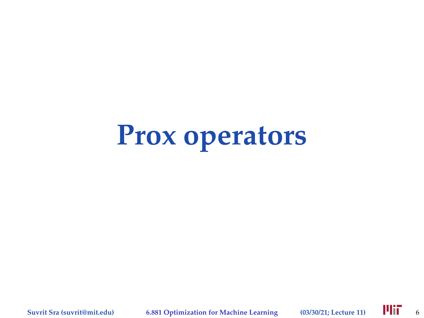# **Prox operators**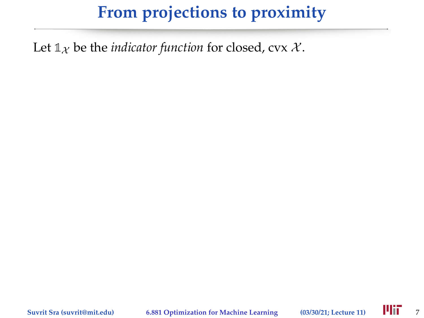Let  $\mathbb{1}_{\mathcal{X}}$  be the *indicator function* for closed, cvx  $\mathcal{X}$ .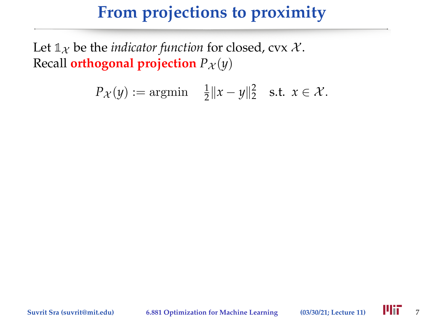Let  $\mathbb{1}_{\mathcal{X}}$  be the *indicator function* for closed, cvx  $\mathcal{X}$ . Recall **orthogonal projection**  $P_X(y)$ 

$$
P_{\mathcal{X}}(y) := \operatorname{argmin} \quad \frac{1}{2} \|x - y\|_2^2 \quad \text{s.t.} \ \ x \in \mathcal{X}.
$$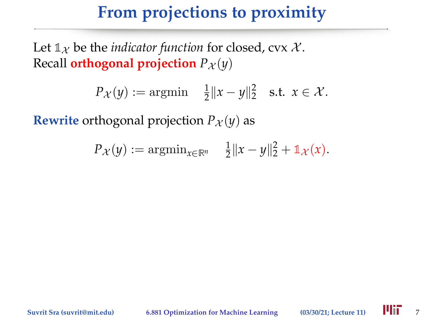Let  $\mathbb{1}_{\mathcal{X}}$  be the *indicator function* for closed, cvx  $\mathcal{X}$ . Recall **orthogonal projection**  $P_X(y)$ 

$$
P_{\mathcal{X}}(y) := \operatorname{argmin} \quad \frac{1}{2} \|x - y\|_2^2 \quad \text{s.t.} \ \ x \in \mathcal{X}.
$$

**Rewrite** orthogonal projection  $P_X(y)$  as

$$
P_{\mathcal{X}}(y) := \mathrm{argmin}_{x \in \mathbb{R}^n} \quad \frac{1}{2} \|x - y\|_2^2 + \mathbb{1}_{\mathcal{X}}(x).
$$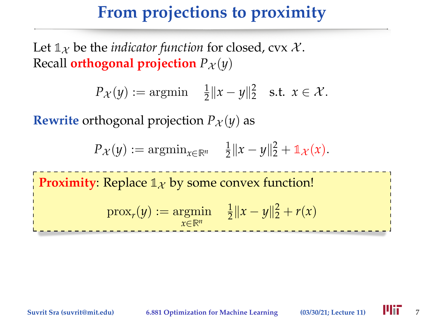Let  $\mathbb{1}_{\mathcal{X}}$  be the *indicator function* for closed, cvx  $\mathcal{X}$ . Recall **orthogonal projection**  $P_X(y)$ 

$$
P_{\mathcal{X}}(y) := \operatorname{argmin} \quad \frac{1}{2} \|x - y\|_2^2 \quad \text{s.t.} \ \ x \in \mathcal{X}.
$$

**Rewrite** orthogonal projection  $P_X(y)$  as

$$
P_{\mathcal{X}}(y) := \mathrm{argmin}_{x \in \mathbb{R}^n} \quad \frac{1}{2} \|x - y\|_2^2 + \mathbb{1}_{\mathcal{X}}(x).
$$

**Proximity:** Replace  $\mathbb{1}_X$  by some convex function!

$$
\text{prox}_{r}(y) := \underset{x \in \mathbb{R}^n}{\text{argmin}} \quad \frac{1}{2} \|x - y\|_2^2 + r(x)
$$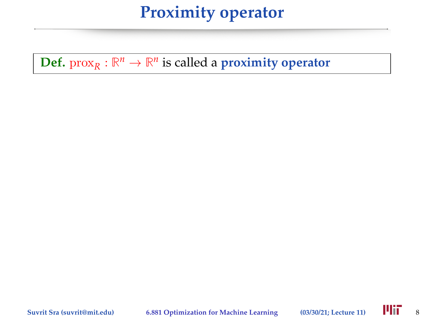### **Proximity operator**

**Def.**  $\text{prox}_{R}: \mathbb{R}^{n} \to \mathbb{R}^{n}$  is called a **proximity operator**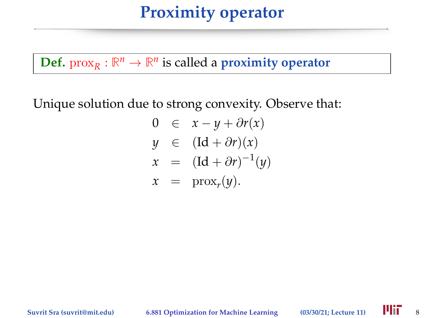### **Proximity operator**

**Def.**  $\text{prox}_{R}: \mathbb{R}^{n} \to \mathbb{R}^{n}$  is called a **proximity operator** 

Unique solution due to strong convexity. Observe that:

$$
0 \in x - y + \partial r(x)
$$
  
\n
$$
y \in (\text{Id} + \partial r)(x)
$$
  
\n
$$
x = (\text{Id} + \partial r)^{-1}(y)
$$
  
\n
$$
x = \text{prox}_r(y).
$$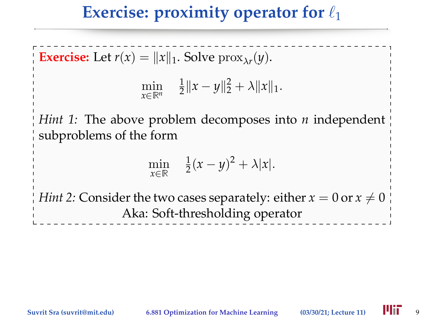### **Exercise: proximity operator for**  $\ell_1$

**Exercise:** Let  $r(x) = ||x||_1$ . Solve  $prox_{\lambda r}(y)$ .

$$
\min_{x \in \mathbb{R}^n} \quad \frac{1}{2} \|x - y\|_2^2 + \lambda \|x\|_1.
$$

*Hint 1:* The above problem decomposes into *n* independent subproblems of the form

$$
\min_{x \in \mathbb{R}} \quad \frac{1}{2}(x-y)^2 + \lambda |x|.
$$

*Hint 2:* Consider the two cases separately: either  $x = 0$  or  $x \neq 0$ Aka: Soft-thresholding operator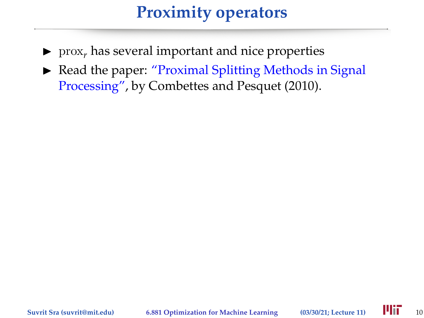### **Proximity operators**

- $\triangleright$  prox<sub>*r*</sub> has several important and nice properties
- $\triangleright$  Read the paper: "Proximal Splitting Methods in Signal Processing", by Combettes and Pesquet (2010).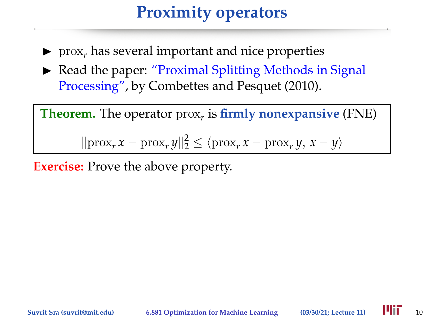### **Proximity operators**

- $\triangleright$  prox<sub>*r*</sub> has several important and nice properties
- $\triangleright$  Read the paper: "Proximal Splitting Methods in Signal Processing", by Combettes and Pesquet (2010).

**Theorem.** The operator prox*<sup>r</sup>* is **firmly nonexpansive** (FNE)

 $\|\text{prox}_r x - \text{prox}_r y\|_2^2 \le \langle \text{prox}_r x - \text{prox}_r y, x - y \rangle$ 

**Exercise:** Prove the above property.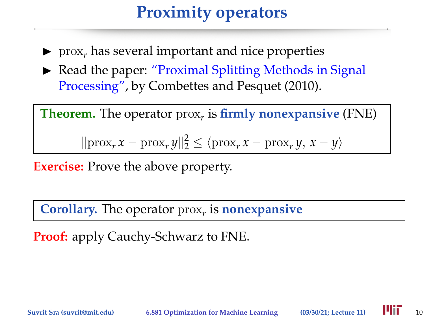### **Proximity operators**

- $\triangleright$  prox<sub>*r*</sub> has several important and nice properties
- $\triangleright$  Read the paper: "Proximal Splitting Methods in Signal Processing", by Combettes and Pesquet (2010).

**Theorem.** The operator prox*<sup>r</sup>* is **firmly nonexpansive** (FNE)

 $\|\text{prox}_r x - \text{prox}_r y\|_2^2 \le \langle \text{prox}_r x - \text{prox}_r y, x - y \rangle$ 

**Exercise:** Prove the above property.

**Corollary.** The operator prox*<sup>r</sup>* is **nonexpansive**

**Proof:** apply Cauchy-Schwarz to FNE.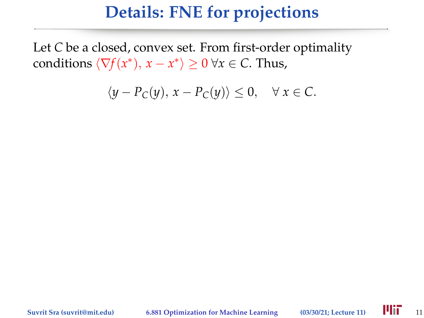Let *C* be a closed, convex set. From first-order optimality conditions  $\langle \nabla f(x^*), x - x^* \rangle \ge 0 \ \forall x \in C$ . Thus,

$$
\langle y - P_C(y), x - P_C(y) \rangle \le 0, \quad \forall x \in C.
$$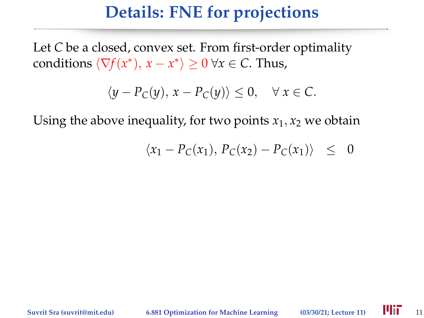Let *C* be a closed, convex set. From first-order optimality conditions  $\langle \nabla f(x^*), x - x^* \rangle \ge 0 \ \forall x \in C$ . Thus,

$$
\langle y - P_C(y), x - P_C(y) \rangle \le 0, \quad \forall x \in C.
$$

$$
\langle x_1 - P_C(x_1), P_C(x_2) - P_C(x_1) \rangle \leq 0
$$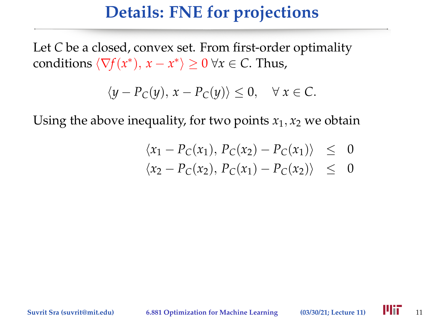Let *C* be a closed, convex set. From first-order optimality conditions  $\langle \nabla f(x^*), x - x^* \rangle \ge 0 \ \forall x \in C$ . Thus,

$$
\langle y - P_C(y), x - P_C(y) \rangle \le 0, \quad \forall x \in C.
$$

$$
\langle x_1 - P_C(x_1), P_C(x_2) - P_C(x_1) \rangle \leq 0
$$
  

$$
\langle x_1 - P_C(x_1), P_C(x_2) - P_C(x_1) \rangle \leq 0
$$

$$
\langle x_2 - P_C(x_2), P_C(x_1) - P_C(x_2) \rangle \leq 0
$$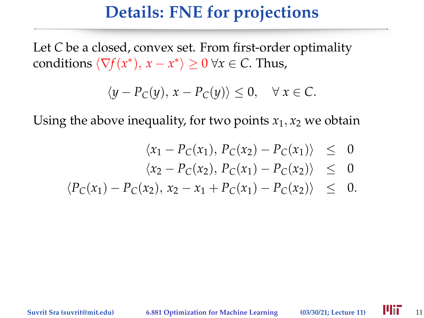Let *C* be a closed, convex set. From first-order optimality conditions  $\langle \nabla f(x^*), x - x^* \rangle \ge 0 \ \forall x \in C$ . Thus,

$$
\langle y - P_C(y), x - P_C(y) \rangle \le 0, \quad \forall x \in C.
$$

$$
\langle x_1 - P_C(x_1), P_C(x_2) - P_C(x_1) \rangle \leq 0
$$

$$
\langle x_2 - P_C(x_2), P_C(x_1) - P_C(x_2) \rangle \leq 0
$$

$$
\langle P_C(x_1) - P_C(x_2), x_2 - x_1 + P_C(x_1) - P_C(x_2) \rangle \leq 0.
$$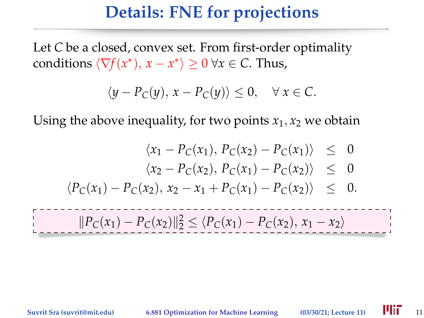Let *C* be a closed, convex set. From first-order optimality conditions  $\langle \nabla f(x^*), x - x^* \rangle \ge 0 \ \forall x \in C$ . Thus,

$$
\langle y - P_C(y), x - P_C(y) \rangle \le 0, \quad \forall x \in C.
$$

$$
\langle x_1 - P_C(x_1), P_C(x_2) - P_C(x_1) \rangle \leq 0
$$

$$
\langle x_2 - P_C(x_2), P_C(x_1) - P_C(x_2) \rangle \leq 0
$$

$$
\langle P_C(x_1) - P_C(x_2), x_2 - x_1 + P_C(x_1) - P_C(x_2) \rangle \leq 0.
$$

$$
||P_C(x_1) - P_C(x_2)||_2^2 \le \langle P_C(x_1) - P_C(x_2), x_1 - x_2 \rangle
$$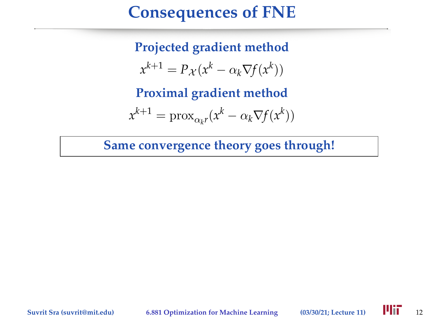### **Consequences of FNE**

**Projected gradient method**  $x^{k+1} = P_{\mathcal{X}}(x^k - \alpha_k \nabla f(x^k))$ 

**Proximal gradient method**

$$
x^{k+1} = \text{prox}_{\alpha_k r}(x^k - \alpha_k \nabla f(x^k))
$$

**Same convergence theory goes through!**

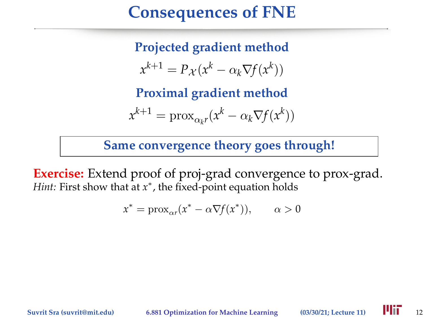### **Consequences of FNE**

**Projected gradient method**  $x^{k+1} = P_{\mathcal{X}}(x^k - \alpha_k \nabla f(x^k))$ 

**Proximal gradient method**

$$
x^{k+1} = \text{prox}_{\alpha_k r}(x^k - \alpha_k \nabla f(x^k))
$$

**Same convergence theory goes through!**

**Exercise:** Extend proof of proj-grad convergence to prox-grad. *Hint*: First show that at  $x^*$ , the fixed-point equation holds

$$
x^* = \text{prox}_{\alpha r}(x^* - \alpha \nabla f(x^*)), \qquad \alpha > 0
$$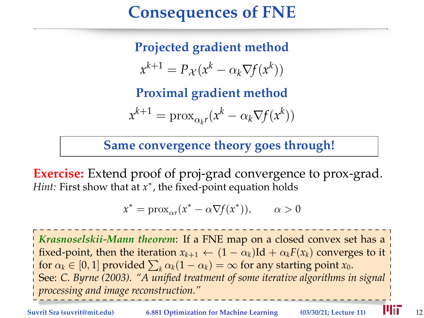### **Consequences of FNE**

**Projected gradient method**  $x^{k+1} = P_{\mathcal{X}}(x^k - \alpha_k \nabla f(x^k))$ 

**Proximal gradient method**

$$
x^{k+1} = \text{prox}_{\alpha_k r}(x^k - \alpha_k \nabla f(x^k))
$$

**Same convergence theory goes through!**

**Exercise:** Extend proof of proj-grad convergence to prox-grad. *Hint*: First show that at  $x^*$ , the fixed-point equation holds

$$
x^* = \text{prox}_{\alpha r}(x^* - \alpha \nabla f(x^*)), \qquad \alpha > 0
$$

*Krasnoselskii-Mann theorem*: If a FNE map on a closed convex set has a fixed-point, then the iteration  $x_{k+1} \leftarrow (1 - \alpha_k) \text{Id} + \alpha_k F(x_k)$  converges to it for  $\alpha_k \in [0,1]$  provided  $\sum_k \alpha_k (1 - \alpha_k) = \infty$  for any starting point  $x_0$ . See: *C. Byrne (2003). "A unified treatment of some iterative algorithms in signal processing and image reconstruction."*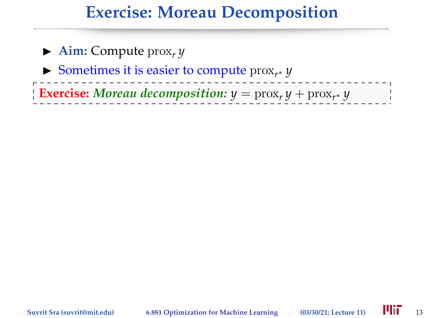### **Exercise: Moreau Decomposition**

| $\blacktriangleright$ Aim: Compute $\max_{x} y$                                    |  |
|------------------------------------------------------------------------------------|--|
| Sometimes it is easier to compute $prox_{r^*} y$                                   |  |
| <b>Exercise:</b> Moreau decomposition: $y = \text{prox}_r y + \text{prox}_{r^*} y$ |  |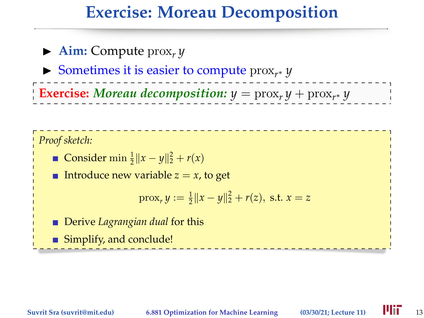#### **Exercise: Moreau Decomposition**

 $\blacktriangleright$  **Aim:** Compute prox<sub>*r*</sub> *y* ► Sometimes it is easier to compute  $prox_{r^*} y$ **Exercise:** Moreau decomposition:  $y = \text{prox}_r y + \text{prox}_{r^*} y$ 

*Proof sketch:*

Consider  $\min \frac{1}{2} ||x - y||_2^2 + r(x)$ 

**Introduce new variable**  $z = x$ **, to get** 

$$
\text{prox}_r y := \frac{1}{2} ||x - y||_2^2 + r(z), \text{ s.t. } x = z
$$

**Derive** *Lagrangian dual* for this

■ Simplify, and conclude!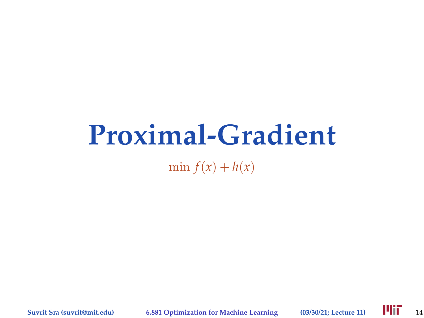# **Proximal-Gradient**

 $\min f(x) + h(x)$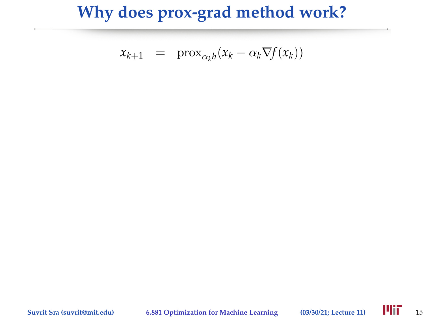$$
x_{k+1} = \text{prox}_{\alpha_k h}(x_k - \alpha_k \nabla f(x_k))
$$

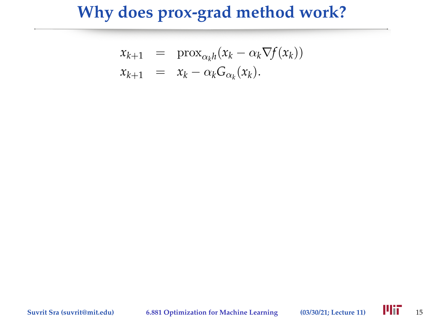$$
x_{k+1} = \text{prox}_{\alpha_k h}(x_k - \alpha_k \nabla f(x_k))
$$
  

$$
x_{k+1} = x_k - \alpha_k G_{\alpha_k}(x_k).
$$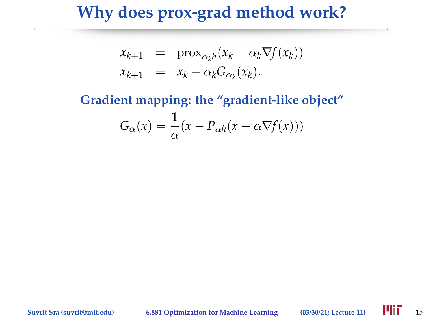$$
x_{k+1} = \text{prox}_{\alpha_k h}(x_k - \alpha_k \nabla f(x_k))
$$
  

$$
x_{k+1} = x_k - \alpha_k G_{\alpha_k}(x_k).
$$

# **Gradient mapping: the "gradient-like object"**  $G_{\alpha}(x) = \frac{1}{\alpha}(x - P_{\alpha h}(x - \alpha \nabla f(x)))$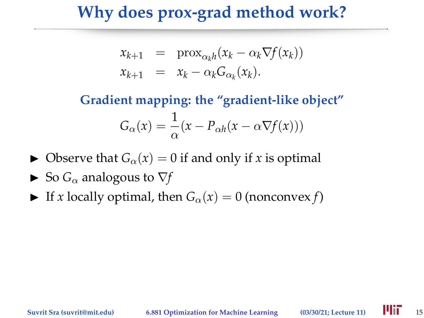$$
x_{k+1} = \text{prox}_{\alpha_k h}(x_k - \alpha_k \nabla f(x_k))
$$
  

$$
x_{k+1} = x_k - \alpha_k G_{\alpha_k}(x_k).
$$

**Gradient mapping: the "gradient-like object"**  $G_{\alpha}(x) = \frac{1}{\alpha}(x - P_{\alpha h}(x - \alpha \nabla f(x)))$ 

- $\triangleright$  Observe that  $G_\alpha(x) = 0$  if and only if *x* is optimal
- $\triangleright$  So  $G_{\alpha}$  analogous to  $\nabla f$
- If *x* locally optimal, then  $G_\alpha(x) = 0$  (nonconvex *f*)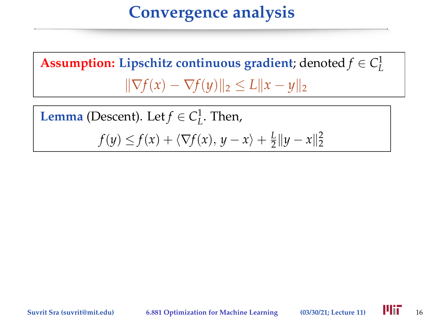**Assumption:** Lipschitz continuous gradient; denoted  $f \in C^1_L$  $\|\nabla f(x) - \nabla f(y)\|_2 \le L \|x - y\|_2$ 

**Lemma** (Descent). Let  $f \in C^1_L$ . Then,

 $f(y) \leq f(x) + \langle \nabla f(x), y - x \rangle + \frac{L}{2}$  $\frac{L}{2} \|y - x\|_2^2$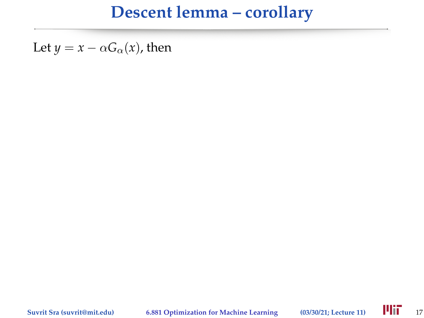Let  $y = x - \alpha G_{\alpha}(x)$ , then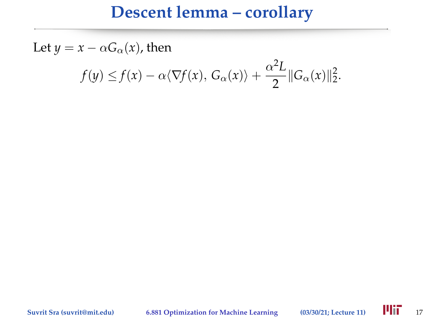Let  $y = x - \alpha G_{\alpha}(x)$ , then  $f(y) \leq f(x) - \alpha \langle \nabla f(x), G_\alpha(x) \rangle + \frac{\alpha^2 L}{2}$  $\frac{L}{2} ||G_{\alpha}(x)||_2^2.$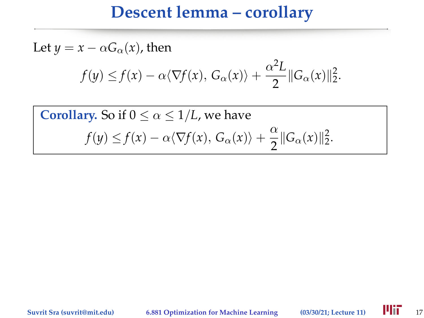Let 
$$
y = x - \alpha G_{\alpha}(x)
$$
, then  
\n
$$
f(y) \le f(x) - \alpha \langle \nabla f(x), G_{\alpha}(x) \rangle + \frac{\alpha^2 L}{2} ||G_{\alpha}(x)||_2^2.
$$

**Corollary.** So if 
$$
0 \le \alpha \le 1/L
$$
, we have  

$$
f(y) \le f(x) - \alpha \langle \nabla f(x), G_{\alpha}(x) \rangle + \frac{\alpha}{2} ||G_{\alpha}(x)||_2^2.
$$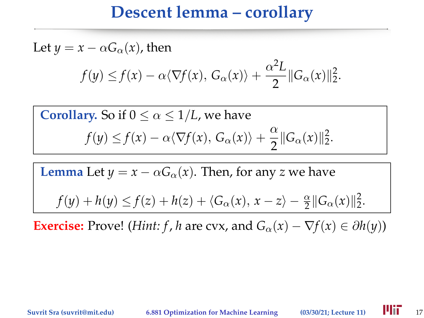Let 
$$
y = x - \alpha G_{\alpha}(x)
$$
, then  
\n
$$
f(y) \le f(x) - \alpha \langle \nabla f(x), G_{\alpha}(x) \rangle + \frac{\alpha^2 L}{2} ||G_{\alpha}(x)||_2^2.
$$

**Corollary.** So if 
$$
0 \le \alpha \le 1/L
$$
, we have  

$$
f(y) \le f(x) - \alpha \langle \nabla f(x), G_{\alpha}(x) \rangle + \frac{\alpha}{2} ||G_{\alpha}(x)||_{2}^{2}.
$$

**Lemma** Let 
$$
y = x - \alpha G_{\alpha}(x)
$$
. Then, for any  $z$  we have

$$
f(y) + h(y) \le f(z) + h(z) + \langle G_{\alpha}(x), x - z \rangle - \frac{\alpha}{2} ||G_{\alpha}(x)||_2^2.
$$

**Exercise:** Prove! (*Hint: f, h* are cvx, and  $G_\alpha(x) - \nabla f(x) \in \partial h(y)$ )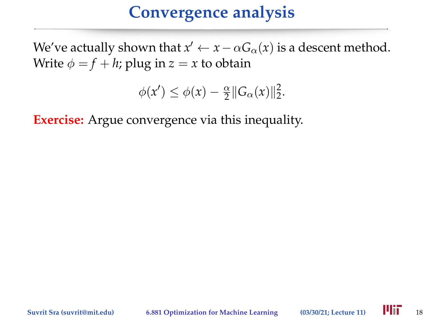We've actually shown that  $x' \leftarrow x - \alpha G_\alpha(x)$  is a descent method. Write  $\phi = f + h$ ; plug in  $z = x$  to obtain

$$
\phi(x') \leq \phi(x) - \frac{\alpha}{2} \|G_{\alpha}(x)\|_2^2.
$$

**Exercise:** Argue convergence via this inequality.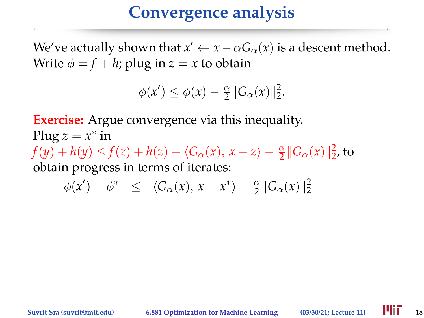We've actually shown that  $x' \leftarrow x - \alpha G_\alpha(x)$  is a descent method. Write  $\phi = f + h$ ; plug in  $z = x$  to obtain

> $\phi(x') \leq \phi(x) - \frac{\alpha}{2}$  $\frac{\alpha}{2}$ || $G_\alpha(x)$ || $\frac{2}{2}$ .

**Exercise:** Argue convergence via this inequality. Plug  $z = x^*$  in  $f(y) + h(y) \le f(z) + h(z) + \langle G_{\alpha}(x), x - z \rangle - \frac{\alpha}{2} ||G_{\alpha}(x)||_{2}^{2}$ , to obtain progress in terms of iterates:

 $\phi(x') - \phi^* \leq \langle G_\alpha(x), x - x^* \rangle - \frac{\alpha}{2} ||G_\alpha(x)||_2^2$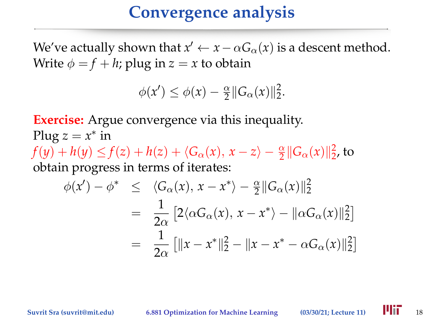We've actually shown that  $x' \leftarrow x - \alpha G_\alpha(x)$  is a descent method. Write  $\phi = f + h$ ; plug in  $z = x$  to obtain

> $\phi(x') \leq \phi(x) - \frac{\alpha}{2}$  $\frac{\alpha}{2}$ || $G_\alpha(x)$ || $\frac{2}{2}$ .

**Exercise:** Argue convergence via this inequality. Plug  $z = x^*$  in  $f(y) + h(y) \le f(z) + h(z) + \langle G_{\alpha}(x), x - z \rangle - \frac{\alpha}{2} ||G_{\alpha}(x)||_{2}^{2}$ , to obtain progress in terms of iterates:  $\phi(x') - \phi^* \leq \langle G_\alpha(x), x - x^* \rangle - \frac{\alpha}{2} ||G_\alpha(x)||_2^2$  $= \frac{1}{2}$  $2\alpha$  $[2\langle \alpha G_{\alpha}(x), x - x^* \rangle - ||\alpha G_{\alpha}(x)||_2^2]$ 

$$
= \frac{1}{2\alpha} \left[ \|x - x^*\|^2_2 - \|x - x^* - \alpha G_{\alpha}(x)\|^2_2 \right]
$$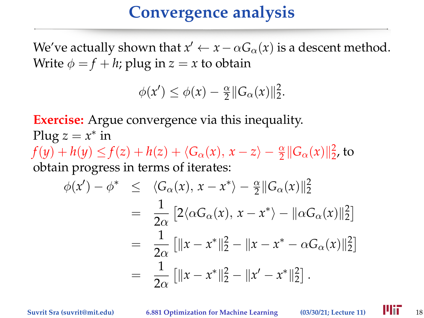We've actually shown that  $x' \leftarrow x - \alpha G_\alpha(x)$  is a descent method. Write  $\phi = f + h$ ; plug in  $z = x$  to obtain

> $\phi(x') \leq \phi(x) - \frac{\alpha}{2}$  $\frac{\alpha}{2}$ || $G_\alpha(x)$ || $\frac{2}{2}$ .

**Exercise:** Argue convergence via this inequality. Plug  $z = x^*$  in  $f(y) + h(y) \le f(z) + h(z) + \langle G_{\alpha}(x), x - z \rangle - \frac{\alpha}{2} ||G_{\alpha}(x)||_{2}^{2}$ , to obtain progress in terms of iterates:  $\phi(x') - \phi^* \leq \langle G_\alpha(x), x - x^* \rangle - \frac{\alpha}{2} ||G_\alpha(x)||_2^2$  $= \frac{1}{2}$  $2\alpha$  $[2\langle \alpha G_{\alpha}(x), x - x^* \rangle - ||\alpha G_{\alpha}(x)||_2^2]$  $= \frac{1}{2}$  $2\alpha$  $\left[ \|x - x^*\|_2^2 - \|x - x^* - \alpha G_\alpha(x)\|_2^2 \right]$  $= \frac{1}{2}$  $2\alpha$  $\left[ \|x - x^*\|_2^2 - \|x' - x^*\|_2^2 \right].$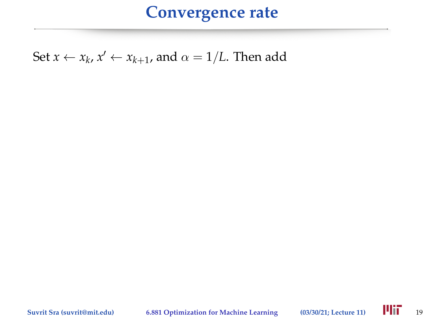Set  $x \leftarrow x_k$ ,  $x' \leftarrow x_{k+1}$ , and  $\alpha = 1/L$ . Then add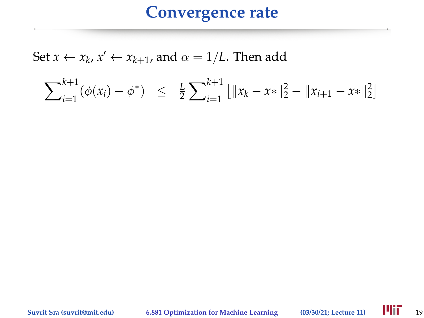Set  $x \leftarrow x_k$ ,  $x' \leftarrow x_{k+1}$ , and  $\alpha = 1/L$ . Then add

$$
\sum_{i=1}^{k+1} (\phi(x_i) - \phi^*) \leq \frac{L}{2} \sum_{i=1}^{k+1} \left[ ||x_k - x*||_2^2 - ||x_{i+1} - x*||_2^2 \right]
$$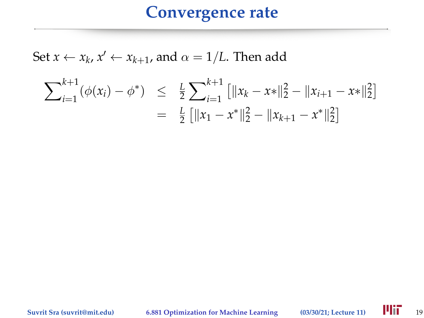Set  $x \leftarrow x_k$ ,  $x' \leftarrow x_{k+1}$ , and  $\alpha = 1/L$ . Then add

$$
\sum_{i=1}^{k+1} (\phi(x_i) - \phi^*) \leq \frac{L}{2} \sum_{i=1}^{k+1} \left[ \|x_k - x^*\|_2^2 - \|x_{i+1} - x^*\|_2^2 \right] \\
= \frac{L}{2} \left[ \|x_1 - x^*\|_2^2 - \|x_{k+1} - x^*\|_2^2 \right]
$$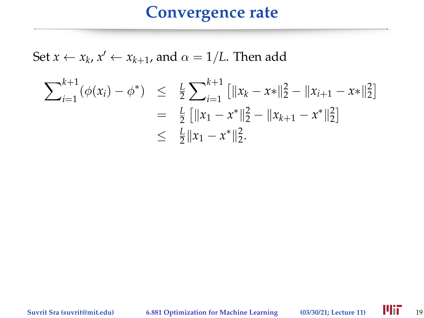Set  $x \leftarrow x_k$ ,  $x' \leftarrow x_{k+1}$ , and  $\alpha = 1/L$ . Then add

$$
\sum_{i=1}^{k+1} (\phi(x_i) - \phi^*) \leq \frac{L}{2} \sum_{i=1}^{k+1} \left[ ||x_k - x*||_2^2 - ||x_{i+1} - x*||_2^2 \right]
$$
  
=  $\frac{L}{2} \left[ ||x_1 - x^*||_2^2 - ||x_{k+1} - x^*||_2^2 \right]$   
 $\leq \frac{L}{2} ||x_1 - x^*||_2^2.$ 

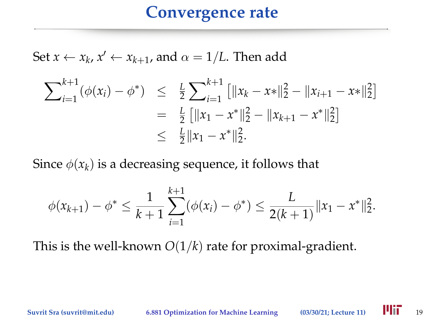Set  $x \leftarrow x_k$ ,  $x' \leftarrow x_{k+1}$ , and  $\alpha = 1/L$ . Then add

$$
\sum_{i=1}^{k+1} (\phi(x_i) - \phi^*) \leq \frac{L}{2} \sum_{i=1}^{k+1} \left[ \|x_k - x^*\|_2^2 - \|x_{i+1} - x^*\|_2^2 \right] \\
= \frac{L}{2} \left[ \|x_1 - x^*\|_2^2 - \|x_{k+1} - x^*\|_2^2 \right] \\
\leq \frac{L}{2} \|x_1 - x^*\|_2^2.
$$

Since  $\phi(x_k)$  is a decreasing sequence, it follows that

$$
\phi(x_{k+1}) - \phi^* \leq \frac{1}{k+1} \sum_{i=1}^{k+1} (\phi(x_i) - \phi^*) \leq \frac{L}{2(k+1)} \|x_1 - x^*\|_2^2.
$$

This is the well-known *O*(1/*k*) rate for proximal-gradient.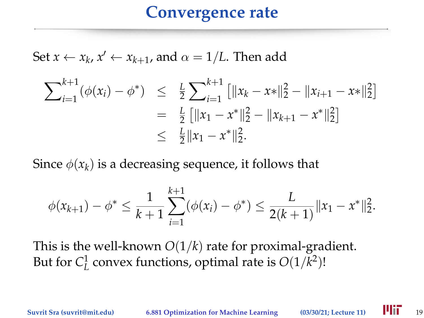Set  $x \leftarrow x_k$ ,  $x' \leftarrow x_{k+1}$ , and  $\alpha = 1/L$ . Then add

$$
\sum_{i=1}^{k+1} (\phi(x_i) - \phi^*) \leq \frac{L}{2} \sum_{i=1}^{k+1} \left[ \|x_k - x^*\|_2^2 - \|x_{i+1} - x^*\|_2^2 \right] \\
= \frac{L}{2} \left[ \|x_1 - x^*\|_2^2 - \|x_{k+1} - x^*\|_2^2 \right] \\
\leq \frac{L}{2} \|x_1 - x^*\|_2^2.
$$

Since  $\phi(x_k)$  is a decreasing sequence, it follows that

$$
\phi(x_{k+1}) - \phi^* \leq \frac{1}{k+1} \sum_{i=1}^{k+1} (\phi(x_i) - \phi^*) \leq \frac{L}{2(k+1)} \|x_1 - x^*\|_2^2.
$$

This is the well-known *O*(1/*k*) rate for proximal-gradient. But for  $C^1_L$  convex functions, optimal rate is  $O(1/k^2)$ !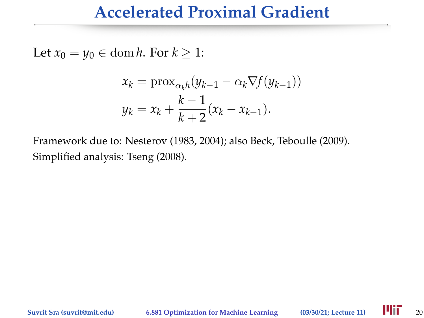#### **Accelerated Proximal Gradient**

Let  $x_0 = y_0 \in \text{dom } h$ . For  $k \geq 1$ :

$$
x_k = \text{prox}_{\alpha_k h}(y_{k-1} - \alpha_k \nabla f(y_{k-1}))
$$
  

$$
y_k = x_k + \frac{k-1}{k+2}(x_k - x_{k-1}).
$$

Framework due to: Nesterov (1983, 2004); also Beck, Teboulle (2009). Simplified analysis: Tseng (2008).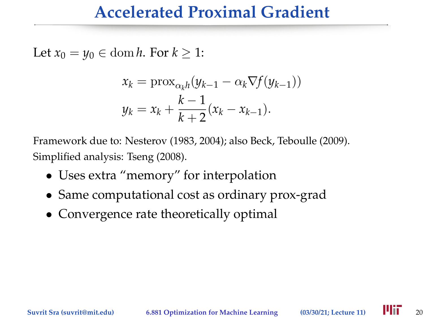#### **Accelerated Proximal Gradient**

Let  $x_0 = y_0 \in \text{dom } h$ . For  $k \geq 1$ :

$$
x_k = \text{prox}_{\alpha_k h}(y_{k-1} - \alpha_k \nabla f(y_{k-1}))
$$
  

$$
y_k = x_k + \frac{k-1}{k+2}(x_k - x_{k-1}).
$$

Framework due to: Nesterov (1983, 2004); also Beck, Teboulle (2009). Simplified analysis: Tseng (2008).

- Uses extra "memory" for interpolation
- Same computational cost as ordinary prox-grad
- Convergence rate theoretically optimal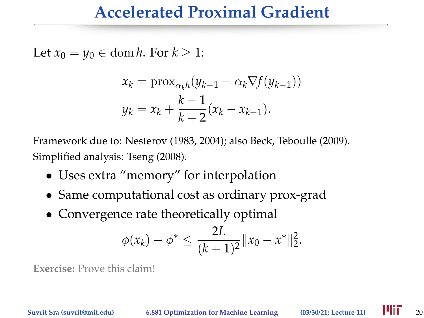#### **Accelerated Proximal Gradient**

Let  $x_0 = y_0 \in \text{dom } h$ . For  $k \geq 1$ :

$$
x_k = \text{prox}_{\alpha_k h}(y_{k-1} - \alpha_k \nabla f(y_{k-1}))
$$
  

$$
y_k = x_k + \frac{k-1}{k+2}(x_k - x_{k-1}).
$$

Framework due to: Nesterov (1983, 2004); also Beck, Teboulle (2009). Simplified analysis: Tseng (2008).

- Uses extra "memory" for interpolation
- Same computational cost as ordinary prox-grad
- Convergence rate theoretically optimal

$$
\phi(x_k) - \phi^* \leq \frac{2L}{(k+1)^2} ||x_0 - x^*||_2^2.
$$

**Exercise:** Prove this claim!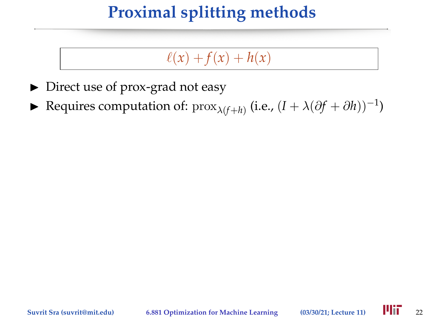# **Proximal splitting methods**

#### $\ell(x) + f(x) + h(x)$

- $\triangleright$  Direct use of prox-grad not easy
- ► Requires computation of:  $prox_{\lambda(f+h)}$  (i.e.,  $(I + \lambda(\partial f + \partial h))^{-1}$ )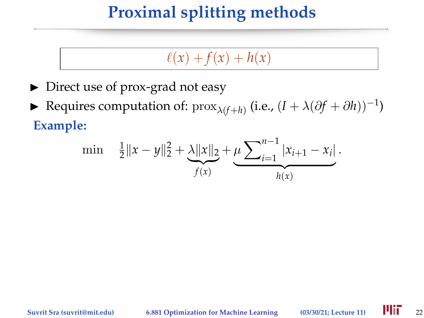# **Proximal splitting methods**

#### $\ell(x) + f(x) + h(x)$

- $\triangleright$  Direct use of prox-grad not easy
- ► Requires computation of:  $prox_{\lambda(f+h)}$  (i.e.,  $(I + \lambda(\partial f + \partial h))^{-1}$ ) **Example:**

$$
\min \quad \frac{1}{2} \|x - y\|_2^2 + \underbrace{\lambda \|x\|_2}_{f(x)} + \underbrace{\mu \sum_{i=1}^{n-1} |x_{i+1} - x_i|}_{h(x)}.
$$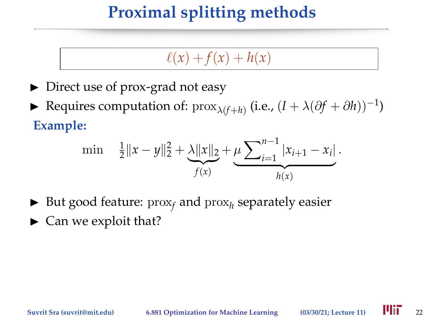# **Proximal splitting methods**

### $\ell(x) + f(x) + h(x)$

- $\triangleright$  Direct use of prox-grad not easy
- ► Requires computation of:  $prox_{\lambda(f+h)}$  (i.e.,  $(I + \lambda(\partial f + \partial h))^{-1}$ ) **Example:**

$$
\min \quad \frac{1}{2} \|x - y\|_2^2 + \underbrace{\lambda \|x\|_2}_{f(x)} + \underbrace{\mu \sum_{i=1}^{n-1} |x_{i+1} - x_i|}_{h(x)}.
$$

- $\blacktriangleright$  But good feature:  $prox_f$  and  $prox_h$  separately easier
- $\blacktriangleright$  Can we exploit that?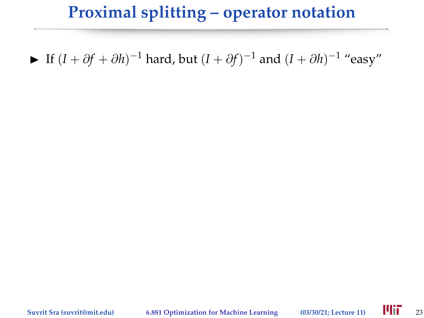$\blacktriangleright$  If  $(I + \partial f + \partial h)^{-1}$  hard, but  $(I + \partial f)^{-1}$  and  $(I + \partial h)^{-1}$  "easy"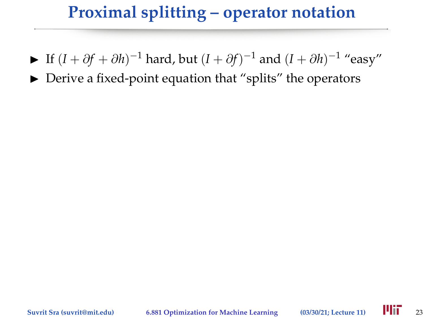- $\blacktriangleright$  If  $(I + \partial f + \partial h)^{-1}$  hard, but  $(I + \partial f)^{-1}$  and  $(I + \partial h)^{-1}$  "easy"
- $\triangleright$  Derive a fixed-point equation that "splits" the operators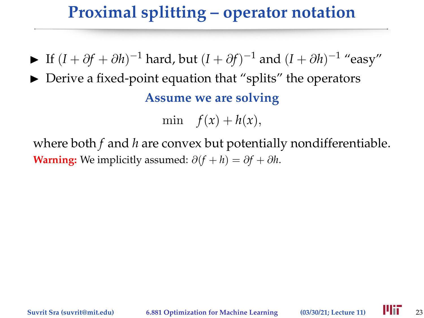- $\blacktriangleright$  If  $(I + \partial f + \partial h)^{-1}$  hard, but  $(I + \partial f)^{-1}$  and  $(I + \partial h)^{-1}$  "easy"
- $\triangleright$  Derive a fixed-point equation that "splits" the operators **Assume we are solving**

min  $f(x) + h(x)$ ,

where both *f* and *h* are convex but potentially nondifferentiable. **Warning:** We implicitly assumed:  $\partial(f + h) = \partial f + \partial h$ .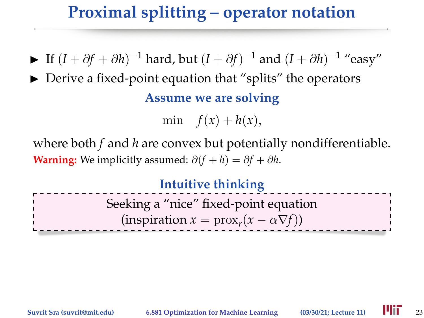- $\blacktriangleright$  If  $(I + \partial f + \partial h)^{-1}$  hard, but  $(I + \partial f)^{-1}$  and  $(I + \partial h)^{-1}$  "easy"
- $\triangleright$  Derive a fixed-point equation that "splits" the operators **Assume we are solving**

min  $f(x) + h(x)$ ,

where both *f* and *h* are convex but potentially nondifferentiable. **Warning:** We implicitly assumed:  $\partial(f + h) = \partial f + \partial h$ .

#### **Intuitive thinking**

Seeking a "nice" fixed-point equation  $(\text{inspiration } x = \text{prox}_r(x - \alpha \nabla f))$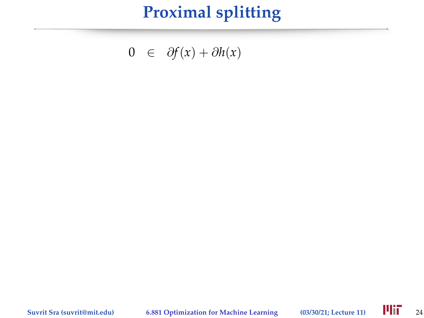$$
0 \in \partial f(x) + \partial h(x)
$$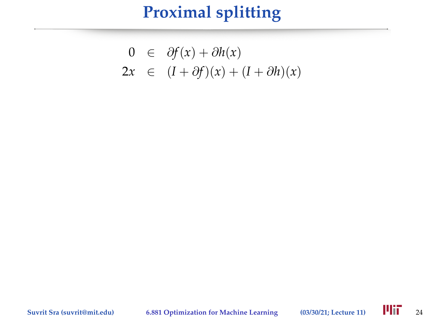$$
0 \in \partial f(x) + \partial h(x)
$$
  
2x \in (I + \partial f)(x) + (I + \partial h)(x)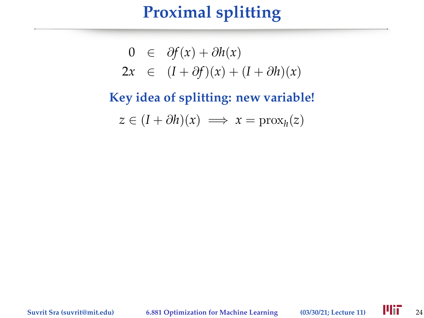$$
0 \in \partial f(x) + \partial h(x)
$$
  
2x \in (I + \partial f)(x) + (I + \partial h)(x)

# **Key idea of splitting: new variable!**  $z \in (I + \partial h)(x) \implies x = \text{prox}_h(z)$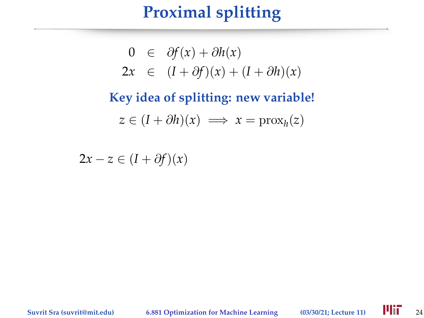$$
0 \in \partial f(x) + \partial h(x)
$$
  
2x \in (I + \partial f)(x) + (I + \partial h)(x)

# **Key idea of splitting: new variable!**  $z \in (I + \partial h)(x) \implies x = \text{prox}_h(z)$

 $2x - z \in (I + \partial f)(x)$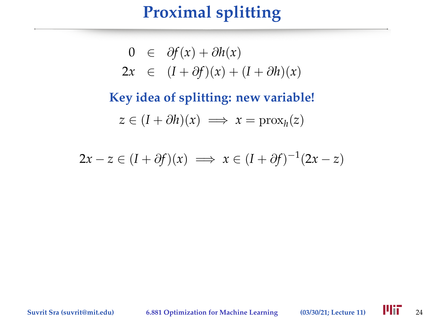# **Proximal splitting**

$$
0 \in \partial f(x) + \partial h(x)
$$
  
2x \in (I + \partial f)(x) + (I + \partial h)(x)

**Key idea of splitting: new variable!**  $z \in (I + \partial h)(x) \implies x = \text{prox}_h(z)$ 

$$
2x - z \in (I + \partial f)(x) \implies x \in (I + \partial f)^{-1}(2x - z)
$$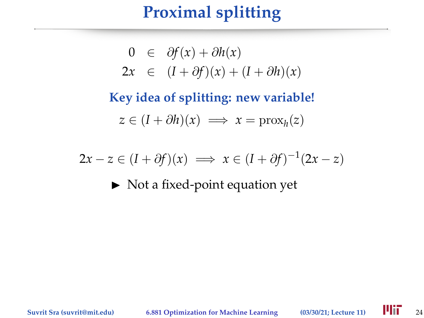# **Proximal splitting**

$$
0 \in \partial f(x) + \partial h(x)
$$
  
2x \in (I + \partial f)(x) + (I + \partial h)(x)

**Key idea of splitting: new variable!**  $z \in (I + \partial h)(x) \implies x = \text{prox}_h(z)$ 

$$
2x - z \in (I + \partial f)(x) \implies x \in (I + \partial f)^{-1}(2x - z)
$$

 $\triangleright$  Not a fixed-point equation yet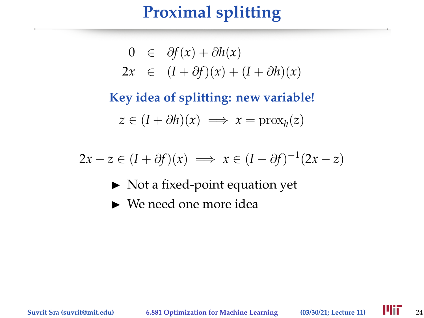# **Proximal splitting**

$$
0 \in \partial f(x) + \partial h(x)
$$
  
2x \in (I + \partial f)(x) + (I + \partial h)(x)

**Key idea of splitting: new variable!**  $z \in (I + \partial h)(x) \implies x = \text{prox}_h(z)$ 

 $2x - z \in (I + \partial f)(x) \implies x \in (I + \partial f)^{-1}(2x - z)$ 

- $\triangleright$  Not a fixed-point equation yet
- $\blacktriangleright$  We need one more idea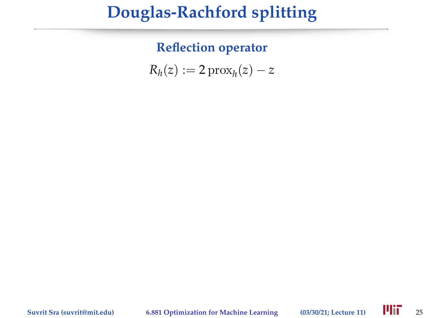**Reflection operator**

 $R_h(z) := 2 \operatorname{prox}_h(z) - z$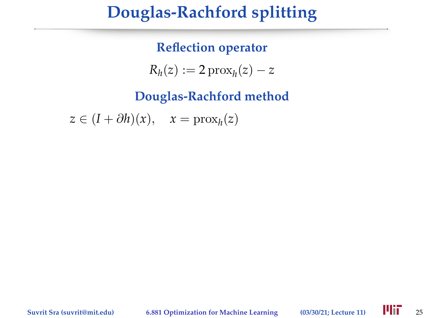### **Reflection operator**

 $R_h(z) := 2 \operatorname{prox}_h(z) - z$ 

**Douglas-Rachford method**

 $z \in (I + \partial h)(x), \quad x = \text{prox}_h(z)$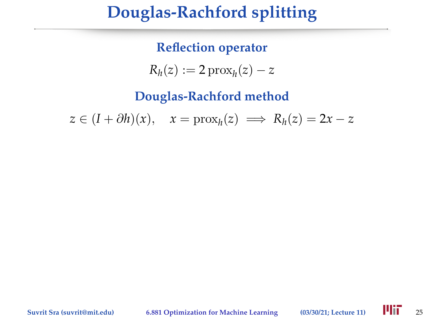#### **Reflection operator**

 $R_h(z) := 2 \operatorname{prox}_h(z) - z$ 

**Douglas-Rachford method**

 $z \in (I + \partial h)(x), \quad x = \text{prox}_h(z) \implies R_h(z) = 2x - z$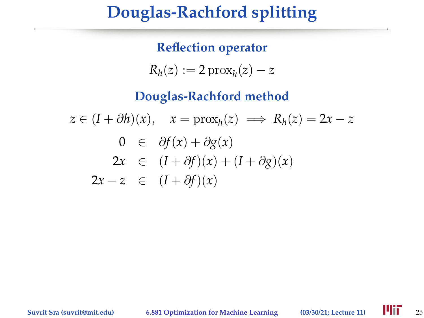**Reflection operator**

 $R_h(z) := 2 \operatorname{prox}_h(z) - z$ 

**Douglas-Rachford method**

 $z \in (I + \partial h)(x), \quad x = \text{prox}_h(z) \implies R_h(z) = 2x - z$ 0 ∈ ∂*f*(*x*) + ∂*g*(*x*)  $2x \in (I + \partial f)(x) + (I + \partial g)(x)$  $2x - z \in (I + \partial f)(x)$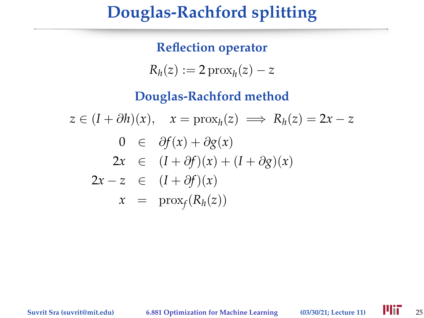### **Reflection operator**

$$
R_h(z) := 2 \operatorname{prox}_h(z) - z
$$

**Douglas-Rachford method**

$$
z \in (I + \partial h)(x), \quad x = \text{prox}_{h}(z) \implies R_{h}(z) = 2x - z
$$

$$
0 \in \partial f(x) + \partial g(x)
$$

$$
2x \in (I + \partial f)(x) + (I + \partial g)(x)
$$

$$
2x - z \in (I + \partial f)(x)
$$

$$
x = \text{prox}_{f}(R_{h}(z))
$$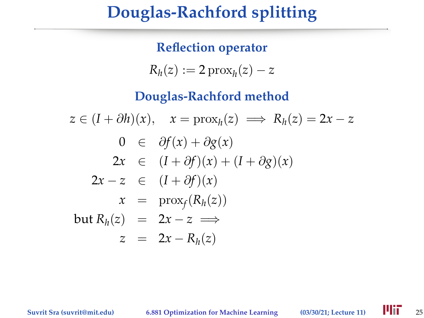### **Reflection operator**

$$
R_h(z) := 2 \operatorname{prox}_h(z) - z
$$

#### **Douglas-Rachford method**

$$
z \in (I + \partial h)(x), \quad x = \text{prox}_{h}(z) \implies R_{h}(z) = 2x - z
$$
  
\n
$$
0 \in \partial f(x) + \partial g(x)
$$
  
\n
$$
2x \in (I + \partial f)(x) + (I + \partial g)(x)
$$
  
\n
$$
2x - z \in (I + \partial f)(x)
$$
  
\n
$$
x = \text{prox}_{f}(R_{h}(z))
$$
  
\nbut  $R_{h}(z) = 2x - z \implies z = 2x - R_{h}(z)$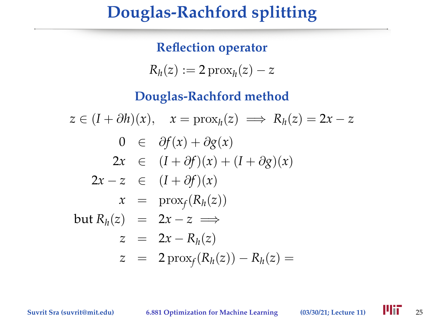### **Reflection operator**

$$
R_h(z) := 2 \operatorname{prox}_h(z) - z
$$

#### **Douglas-Rachford method**

$$
z \in (I + \partial h)(x), \quad x = \text{prox}_{h}(z) \implies R_{h}(z) = 2x - z
$$
  
\n
$$
0 \in \partial f(x) + \partial g(x)
$$
  
\n
$$
2x \in (I + \partial f)(x) + (I + \partial g)(x)
$$
  
\n
$$
2x - z \in (I + \partial f)(x)
$$
  
\n
$$
x = \text{prox}_{f}(R_{h}(z))
$$
  
\nbut  $R_{h}(z) = 2x - z \implies z = 2x - R_{h}(z)$   
\n
$$
z = 2\text{prox}_{f}(R_{h}(z)) - R_{h}(z) = 0
$$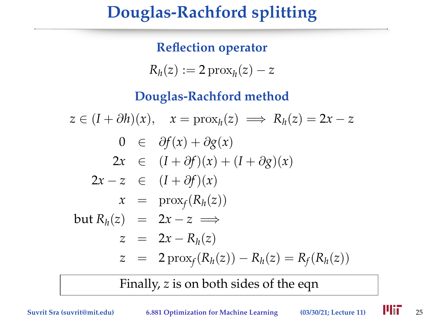### **Reflection operator**

$$
R_h(z) := 2 \operatorname{prox}_h(z) - z
$$

### **Douglas-Rachford method**

$$
z \in (I + \partial h)(x), \quad x = \text{prox}_{h}(z) \implies R_{h}(z) = 2x - z
$$
  
\n
$$
0 \in \partial f(x) + \partial g(x)
$$
  
\n
$$
2x \in (I + \partial f)(x) + (I + \partial g)(x)
$$
  
\n
$$
2x - z \in (I + \partial f)(x)
$$
  
\n
$$
x = \text{prox}_{f}(R_{h}(z))
$$
  
\nbut  $R_{h}(z) = 2x - z \implies z = 2x - R_{h}(z)$   
\n
$$
z = 2x - R_{h}(z)
$$
  
\n
$$
z = 2 \text{prox}_{f}(R_{h}(z)) - R_{h}(z) = R_{f}(R_{h}(z))
$$

Finally, *z* is on both sides of the eqn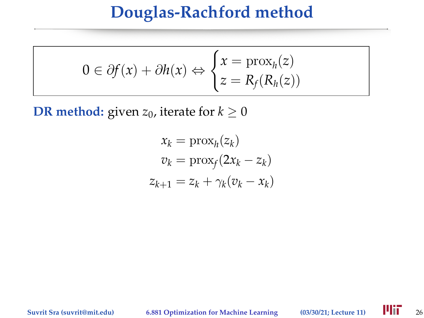$$
0 \in \partial f(x) + \partial h(x) \Leftrightarrow \begin{cases} x = \text{prox}_{h}(z) \\ z = R_f(R_h(z)) \end{cases}
$$

**DR method:** given  $z_0$ , iterate for  $k \geq 0$ 

$$
x_k = \text{prox}_h(z_k)
$$
  
\n
$$
v_k = \text{prox}_f(2x_k - z_k)
$$
  
\n
$$
z_{k+1} = z_k + \gamma_k(v_k - x_k)
$$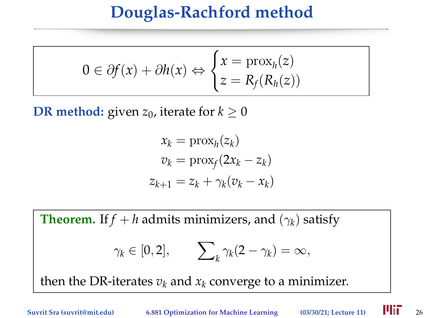$$
0 \in \partial f(x) + \partial h(x) \Leftrightarrow \begin{cases} x = \text{prox}_{h}(z) \\ z = R_f(R_h(z)) \end{cases}
$$

**DR method:** given  $z_0$ , iterate for  $k \geq 0$ 

$$
x_k = \text{prox}_h(z_k)
$$
  
\n
$$
v_k = \text{prox}_f(2x_k - z_k)
$$
  
\n
$$
z_{k+1} = z_k + \gamma_k(v_k - x_k)
$$

**Theorem.** If  $f + h$  admits minimizers, and  $(\gamma_k)$  satisfy  $\gamma_k\in[0,2],\qquad \sum$  $\gamma_k(\gamma_k(2-\gamma_k)=\infty,$ then the DR-iterates  $v_k$  and  $x_k$  converge to a minimizer.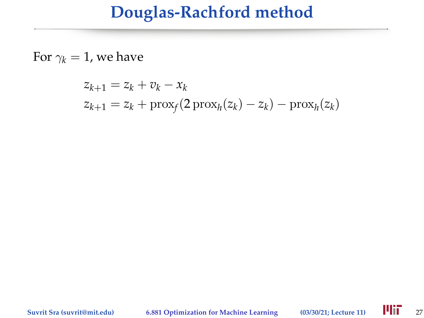For  $\gamma_k = 1$ , we have

$$
z_{k+1} = z_k + v_k - x_k
$$
  

$$
z_{k+1} = z_k + \text{prox}_f(2\,\text{prox}_h(z_k) - z_k) - \text{prox}_h(z_k)
$$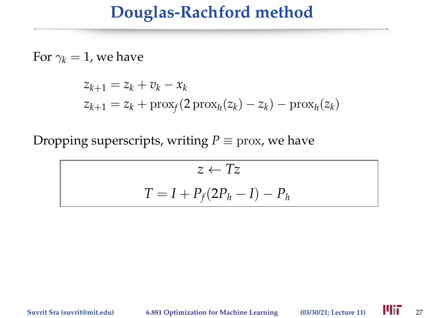For  $\gamma_k = 1$ , we have

$$
z_{k+1} = z_k + v_k - x_k
$$
  

$$
z_{k+1} = z_k + \text{prox}_f(2\,\text{prox}_h(z_k) - z_k) - \text{prox}_h(z_k)
$$

Dropping superscripts, writing  $P \equiv \text{prox}$ , we have

$$
z \leftarrow Tz
$$

$$
T = I + P_f(2P_h - I) - P_h
$$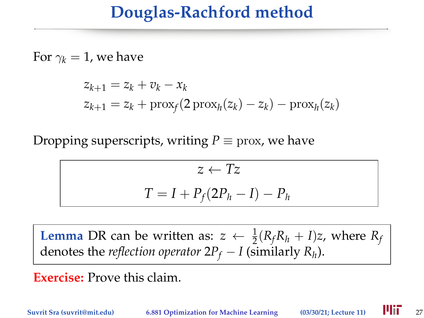For  $\gamma_k = 1$ , we have

$$
z_{k+1} = z_k + v_k - x_k
$$
  

$$
z_{k+1} = z_k + \text{prox}_f(2\operatorname{prox}_h(z_k) - z_k) - \text{prox}_h(z_k)
$$

Dropping superscripts, writing  $P \equiv \text{prox}$ , we have

$$
z \leftarrow Tz
$$

$$
T = I + P_f(2P_h - I) - P_h
$$

**Lemma** DR can be written as:  $z \leftarrow \frac{1}{2}(R_f R_h + I)z$ , where  $R_f$ denotes the *reflection operator*  $2P_f - I$  (similarly  $R_h$ ).

**Exercise:** Prove this claim.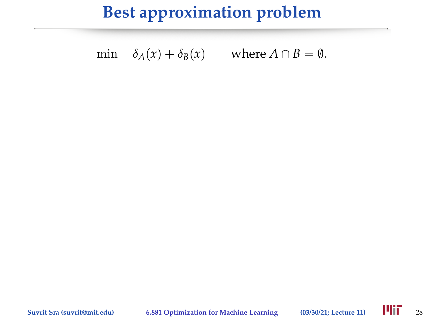## **Best approximation problem**

min  $\delta_A(x) + \delta_B(x)$  where  $A \cap B = \emptyset$ .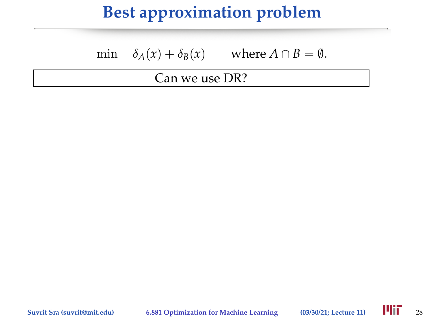# **Best approximation problem**

min  $\delta_A(x) + \delta_B(x)$  where  $A \cap B = \emptyset$ .

#### Can we use DR?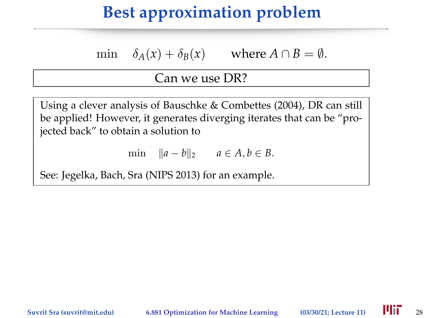# **Best approximation problem**

min  $\delta_A(x) + \delta_B(x)$  where  $A \cap B = \emptyset$ .

#### Can we use DR?

Using a clever analysis of Bauschke & Combettes (2004), DR can still be applied! However, it generates diverging iterates that can be "projected back" to obtain a solution to

min  $||a - b||_2$  *a* ∈ *A*, *b* ∈ *B*.

See: Jegelka, Bach, Sra (NIPS 2013) for an example.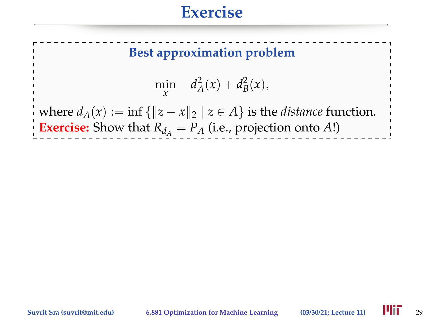### **Exercise**



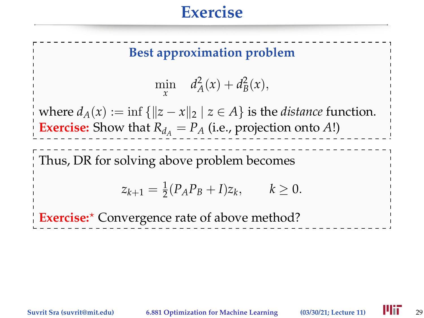## **Exercise**

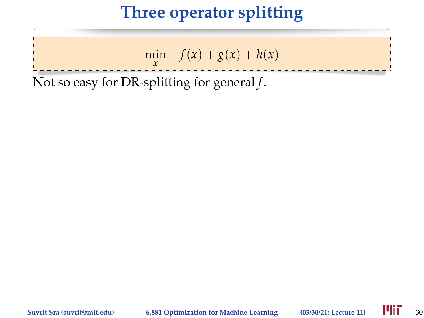## **Three operator splitting**



Not so easy for DR-splitting for general *f*.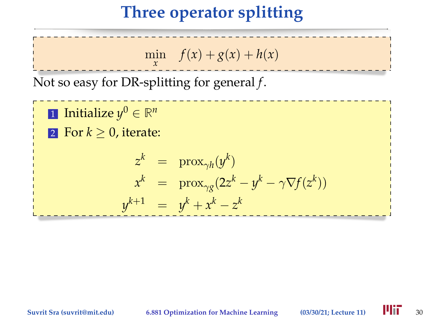# **Three operator splitting**

min  $f(x) + g(x) + h(x)$ *x*

Not so easy for DR-splitting for general *f*.

1 Initialize  $y^0 \in \mathbb{R}^n$ 2 For  $k > 0$ , iterate:  $z^k$  = prox<sub>γ</sub><sub>h</sub></sub> $(y^k)$  $x^k$  = prox<sub> $\gamma g$ </sub> $(2z^k - y^k - \gamma \nabla f(z^k))$  $y^{k+1} = y^k + x^k - z^k$